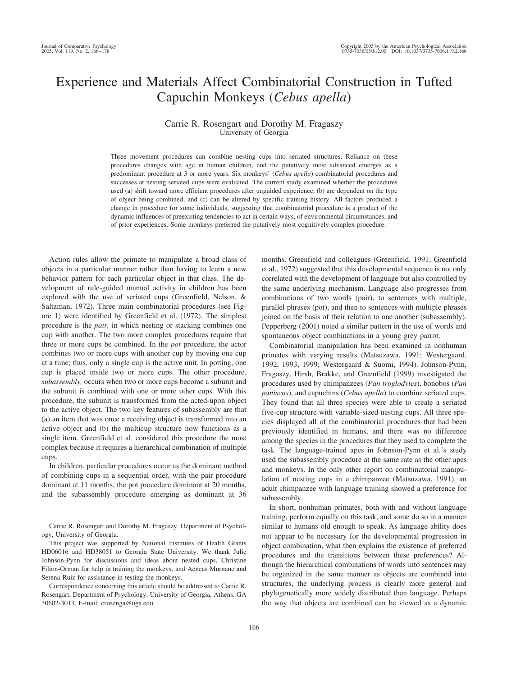# Experience and Materials Affect Combinatorial Construction in Tufted Capuchin Monkeys (*Cebus apella*)

## Carrie R. Rosengart and Dorothy M. Fragaszy University of Georgia

Three movement procedures can combine nesting cups into seriated structures. Reliance on these procedures changes with age in human children, and the putatively most advanced emerges as a predominant procedure at 3 or more years. Six monkeys' (*Cebus apella*) combinatorial procedures and successes at nesting seriated cups were evaluated. The current study examined whether the procedures used (a) shift toward more efficient procedures after unguided experience, (b) are dependent on the type of object being combined, and (c) can be altered by specific training history. All factors produced a change in procedure for some individuals, suggesting that combinatorial procedure is a product of the dynamic influences of preexisting tendencies to act in certain ways, of environmental circumstances, and of prior experiences. Some monkeys preferred the putatively most cognitively complex procedure.

Action rules allow the primate to manipulate a broad class of objects in a particular manner rather than having to learn a new behavior pattern for each particular object in that class. The development of rule-guided manual activity in children has been explored with the use of seriated cups (Greenfield, Nelson, & Saltzman, 1972). Three main combinatorial procedures (see Figure 1) were identified by Greenfield et al. (1972). The simplest procedure is the *pair,* in which nesting or stacking combines one cup with another. The two more complex procedures require that three or more cups be combined. In the *pot* procedure, the actor combines two or more cups with another cup by moving one cup at a time; thus, only a single cup is the active unit. In potting, one cup is placed inside two or more cups. The other procedure, *subassembly,* occurs when two or more cups become a subunit and the subunit is combined with one or more other cups. With this procedure, the subunit is transformed from the acted-upon object to the active object. The two key features of subassembly are that (a) an item that was once a receiving object is transformed into an active object and (b) the multicup structure now functions as a single item. Greenfield et al. considered this procedure the most complex because it requires a hierarchical combination of multiple cups.

In children, particular procedures occur as the dominant method of combining cups in a sequential order, with the pair procedure dominant at 11 months, the pot procedure dominant at 20 months, and the subassembly procedure emerging as dominant at 36

Correspondence concerning this article should be addressed to Carrie R. Rosengart, Department of Psychology, University of Georgia, Athens, GA 30602-3013. E-mail: crosenga@uga.edu

months. Greenfield and colleagues (Greenfield, 1991; Greenfield et al., 1972) suggested that this developmental sequence is not only correlated with the development of language but also controlled by the same underlying mechanism. Language also progresses from combinations of two words (pair), to sentences with multiple, parallel phrases (pot), and then to sentences with multiple phrases joined on the basis of their relation to one another (subassembly). Pepperberg (2001) noted a similar pattern in the use of words and spontaneous object combinations in a young grey parrot.

Combinatorial manipulation has been examined in nonhuman primates with varying results (Matsuzawa, 1991; Westergaard, 1992, 1993, 1999; Westergaard & Suomi, 1994). Johnson-Pynn, Fragaszy, Hirsh, Brakke, and Greenfield (1999) investigated the procedures used by chimpanzees (*Pan troglodytes*), bonobos (*Pan paniscus*), and capuchins (*Cebus apella*) to combine seriated cups. They found that all three species were able to create a seriated five-cup structure with variable-sized nesting cups. All three species displayed all of the combinatorial procedures that had been previously identified in humans, and there was no difference among the species in the procedures that they used to complete the task. The language-trained apes in Johnson-Pynn et al.'s study used the subassembly procedure at the same rate as the other apes and monkeys. In the only other report on combinatorial manipulation of nesting cups in a chimpanzee (Matsuzawa, 1991), an adult chimpanzee with language training showed a preference for subassembly.

In short, nonhuman primates, both with and without language training, perform equally on this task, and some do so in a manner similar to humans old enough to speak. As language ability does not appear to be necessary for the developmental progression in object combination, what then explains the existence of preferred procedures and the transitions between these preferences? Although the hierarchical combinations of words into sentences may be organized in the same manner as objects are combined into structures, the underlying process is clearly more general and phylogenetically more widely distributed than language. Perhaps the way that objects are combined can be viewed as a dynamic

Carrie R. Rosengart and Dorothy M. Fragaszy, Department of Psychology, University of Georgia.

This project was supported by National Institutes of Health Grants HD06016 and HD38051 to Georgia State University. We thank Julie Johnson-Pynn for discussions and ideas about nested cups, Christine Filion-Orman for help in training the monkeys, and Aeneas Murnane and Serena Ruiz for assistance in testing the monkeys.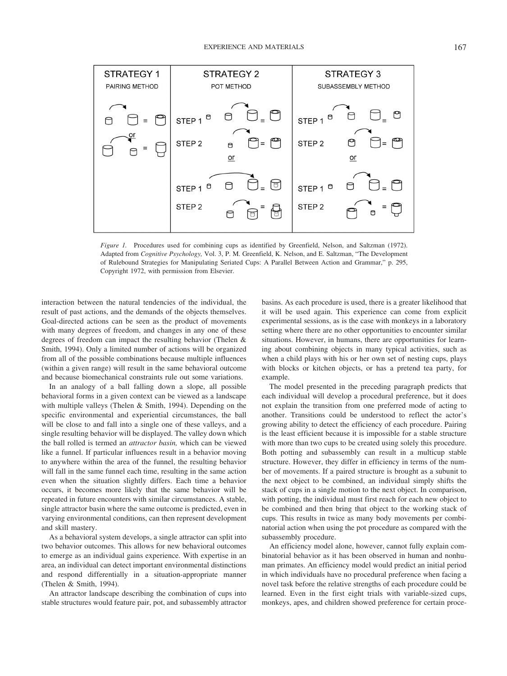

*Figure 1.* Procedures used for combining cups as identified by Greenfield, Nelson, and Saltzman (1972). Adapted from *Cognitive Psychology,* Vol. 3, P. M. Greenfield, K. Nelson, and E. Saltzman, "The Development of Rulebound Strategies for Manipulating Seriated Cups: A Parallel Between Action and Grammar," p. 295, Copyright 1972, with permission from Elsevier.

interaction between the natural tendencies of the individual, the result of past actions, and the demands of the objects themselves. Goal-directed actions can be seen as the product of movements with many degrees of freedom, and changes in any one of these degrees of freedom can impact the resulting behavior (Thelen & Smith, 1994). Only a limited number of actions will be organized from all of the possible combinations because multiple influences (within a given range) will result in the same behavioral outcome and because biomechanical constraints rule out some variations.

In an analogy of a ball falling down a slope, all possible behavioral forms in a given context can be viewed as a landscape with multiple valleys (Thelen & Smith, 1994). Depending on the specific environmental and experiential circumstances, the ball will be close to and fall into a single one of these valleys, and a single resulting behavior will be displayed. The valley down which the ball rolled is termed an *attractor basin,* which can be viewed like a funnel. If particular influences result in a behavior moving to anywhere within the area of the funnel, the resulting behavior will fall in the same funnel each time, resulting in the same action even when the situation slightly differs. Each time a behavior occurs, it becomes more likely that the same behavior will be repeated in future encounters with similar circumstances. A stable, single attractor basin where the same outcome is predicted, even in varying environmental conditions, can then represent development and skill mastery.

As a behavioral system develops, a single attractor can split into two behavior outcomes. This allows for new behavioral outcomes to emerge as an individual gains experience. With expertise in an area, an individual can detect important environmental distinctions and respond differentially in a situation-appropriate manner (Thelen & Smith, 1994).

An attractor landscape describing the combination of cups into stable structures would feature pair, pot, and subassembly attractor basins. As each procedure is used, there is a greater likelihood that it will be used again. This experience can come from explicit experimental sessions, as is the case with monkeys in a laboratory setting where there are no other opportunities to encounter similar situations. However, in humans, there are opportunities for learning about combining objects in many typical activities, such as when a child plays with his or her own set of nesting cups, plays with blocks or kitchen objects, or has a pretend tea party, for example.

The model presented in the preceding paragraph predicts that each individual will develop a procedural preference, but it does not explain the transition from one preferred mode of acting to another. Transitions could be understood to reflect the actor's growing ability to detect the efficiency of each procedure. Pairing is the least efficient because it is impossible for a stable structure with more than two cups to be created using solely this procedure. Both potting and subassembly can result in a multicup stable structure. However, they differ in efficiency in terms of the number of movements. If a paired structure is brought as a subunit to the next object to be combined, an individual simply shifts the stack of cups in a single motion to the next object. In comparison, with potting, the individual must first reach for each new object to be combined and then bring that object to the working stack of cups. This results in twice as many body movements per combinatorial action when using the pot procedure as compared with the subassembly procedure.

An efficiency model alone, however, cannot fully explain combinatorial behavior as it has been observed in human and nonhuman primates. An efficiency model would predict an initial period in which individuals have no procedural preference when facing a novel task before the relative strengths of each procedure could be learned. Even in the first eight trials with variable-sized cups, monkeys, apes, and children showed preference for certain proce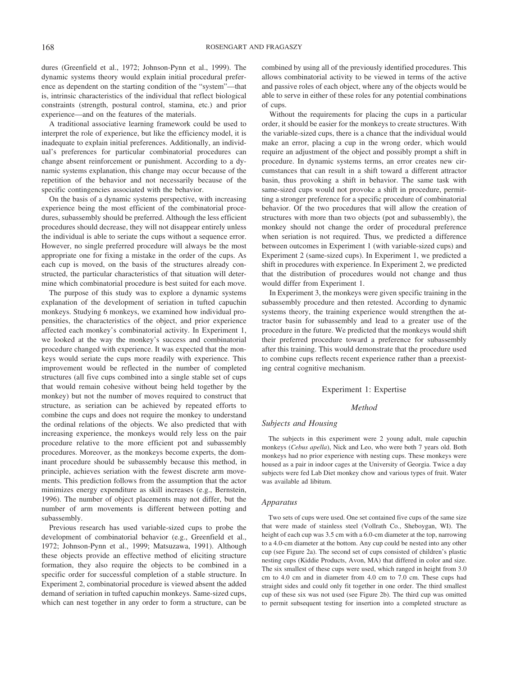dures (Greenfield et al., 1972; Johnson-Pynn et al., 1999). The dynamic systems theory would explain initial procedural preference as dependent on the starting condition of the "system"—that is, intrinsic characteristics of the individual that reflect biological constraints (strength, postural control, stamina, etc.) and prior experience—and on the features of the materials.

A traditional associative learning framework could be used to interpret the role of experience, but like the efficiency model, it is inadequate to explain initial preferences. Additionally, an individual's preferences for particular combinatorial procedures can change absent reinforcement or punishment. According to a dynamic systems explanation, this change may occur because of the repetition of the behavior and not necessarily because of the specific contingencies associated with the behavior.

On the basis of a dynamic systems perspective, with increasing experience being the most efficient of the combinatorial procedures, subassembly should be preferred. Although the less efficient procedures should decrease, they will not disappear entirely unless the individual is able to seriate the cups without a sequence error. However, no single preferred procedure will always be the most appropriate one for fixing a mistake in the order of the cups. As each cup is moved, on the basis of the structures already constructed, the particular characteristics of that situation will determine which combinatorial procedure is best suited for each move.

The purpose of this study was to explore a dynamic systems explanation of the development of seriation in tufted capuchin monkeys. Studying 6 monkeys, we examined how individual propensities, the characteristics of the object, and prior experience affected each monkey's combinatorial activity. In Experiment 1, we looked at the way the monkey's success and combinatorial procedure changed with experience. It was expected that the monkeys would seriate the cups more readily with experience. This improvement would be reflected in the number of completed structures (all five cups combined into a single stable set of cups that would remain cohesive without being held together by the monkey) but not the number of moves required to construct that structure, as seriation can be achieved by repeated efforts to combine the cups and does not require the monkey to understand the ordinal relations of the objects. We also predicted that with increasing experience, the monkeys would rely less on the pair procedure relative to the more efficient pot and subassembly procedures. Moreover, as the monkeys become experts, the dominant procedure should be subassembly because this method, in principle, achieves seriation with the fewest discrete arm movements. This prediction follows from the assumption that the actor minimizes energy expenditure as skill increases (e.g., Bernstein, 1996). The number of object placements may not differ, but the number of arm movements is different between potting and subassembly.

Previous research has used variable-sized cups to probe the development of combinatorial behavior (e.g., Greenfield et al., 1972; Johnson-Pynn et al., 1999; Matsuzawa, 1991). Although these objects provide an effective method of eliciting structure formation, they also require the objects to be combined in a specific order for successful completion of a stable structure. In Experiment 2, combinatorial procedure is viewed absent the added demand of seriation in tufted capuchin monkeys. Same-sized cups, which can nest together in any order to form a structure, can be

combined by using all of the previously identified procedures. This allows combinatorial activity to be viewed in terms of the active and passive roles of each object, where any of the objects would be able to serve in either of these roles for any potential combinations of cups.

Without the requirements for placing the cups in a particular order, it should be easier for the monkeys to create structures. With the variable-sized cups, there is a chance that the individual would make an error, placing a cup in the wrong order, which would require an adjustment of the object and possibly prompt a shift in procedure. In dynamic systems terms, an error creates new circumstances that can result in a shift toward a different attractor basin, thus provoking a shift in behavior. The same task with same-sized cups would not provoke a shift in procedure, permitting a stronger preference for a specific procedure of combinatorial behavior. Of the two procedures that will allow the creation of structures with more than two objects (pot and subassembly), the monkey should not change the order of procedural preference when seriation is not required. Thus, we predicted a difference between outcomes in Experiment 1 (with variable-sized cups) and Experiment 2 (same-sized cups). In Experiment 1, we predicted a shift in procedures with experience. In Experiment 2, we predicted that the distribution of procedures would not change and thus would differ from Experiment 1.

In Experiment 3, the monkeys were given specific training in the subassembly procedure and then retested. According to dynamic systems theory, the training experience would strengthen the attractor basin for subassembly and lead to a greater use of the procedure in the future. We predicted that the monkeys would shift their preferred procedure toward a preference for subassembly after this training. This would demonstrate that the procedure used to combine cups reflects recent experience rather than a preexisting central cognitive mechanism.

## Experiment 1: Expertise

## *Method*

### *Subjects and Housing*

The subjects in this experiment were 2 young adult, male capuchin monkeys (*Cebus apella*), Nick and Leo, who were both 7 years old. Both monkeys had no prior experience with nesting cups. These monkeys were housed as a pair in indoor cages at the University of Georgia. Twice a day subjects were fed Lab Diet monkey chow and various types of fruit. Water was available ad libitum.

#### *Apparatus*

Two sets of cups were used. One set contained five cups of the same size that were made of stainless steel (Vollrath Co., Sheboygan, WI). The height of each cup was 3.5 cm with a 6.0-cm diameter at the top, narrowing to a 4.0-cm diameter at the bottom. Any cup could be nested into any other cup (see Figure 2a). The second set of cups consisted of children's plastic nesting cups (Kiddie Products, Avon, MA) that differed in color and size. The six smallest of these cups were used, which ranged in height from 3.0 cm to 4.0 cm and in diameter from 4.0 cm to 7.0 cm. These cups had straight sides and could only fit together in one order. The third smallest cup of these six was not used (see Figure 2b). The third cup was omitted to permit subsequent testing for insertion into a completed structure as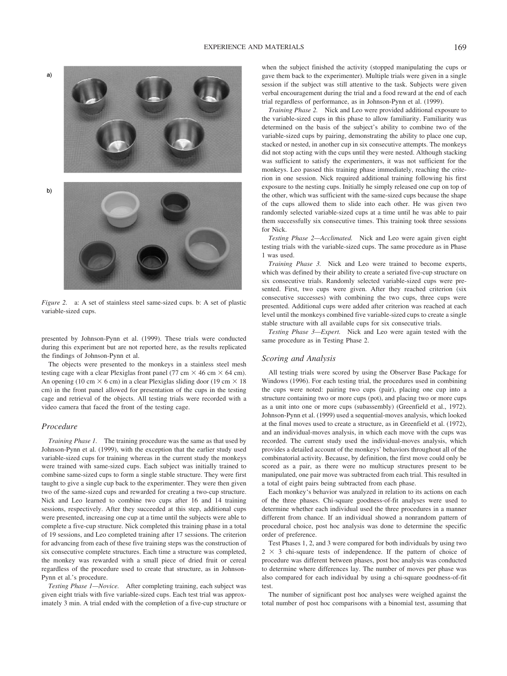*Training Phase 2.* Nick and Leo were provided additional exposure to the variable-sized cups in this phase to allow familiarity. Familiarity was determined on the basis of the subject's ability to combine two of the variable-sized cups by pairing, demonstrating the ability to place one cup, stacked or nested, in another cup in six consecutive attempts. The monkeys did not stop acting with the cups until they were nested. Although stacking was sufficient to satisfy the experimenters, it was not sufficient for the monkeys. Leo passed this training phase immediately, reaching the criterion in one session. Nick required additional training following his first exposure to the nesting cups. Initially he simply released one cup on top of the other, which was sufficient with the same-sized cups because the shape of the cups allowed them to slide into each other. He was given two randomly selected variable-sized cups at a time until he was able to pair them successfully six consecutive times. This training took three sessions for Nick.

*Testing Phase 2—Acclimated.* Nick and Leo were again given eight testing trials with the variable-sized cups. The same procedure as in Phase 1 was used.

*Training Phase 3.* Nick and Leo were trained to become experts, which was defined by their ability to create a seriated five-cup structure on six consecutive trials. Randomly selected variable-sized cups were presented. First, two cups were given. After they reached criterion (six consecutive successes) with combining the two cups, three cups were presented. Additional cups were added after criterion was reached at each level until the monkeys combined five variable-sized cups to create a single stable structure with all available cups for six consecutive trials.

*Testing Phase 3—Expert.* Nick and Leo were again tested with the same procedure as in Testing Phase 2.

#### *Scoring and Analysis*

All testing trials were scored by using the Observer Base Package for Windows (1996). For each testing trial, the procedures used in combining the cups were noted: pairing two cups (pair), placing one cup into a structure containing two or more cups (pot), and placing two or more cups as a unit into one or more cups (subassembly) (Greenfield et al., 1972). Johnson-Pynn et al. (1999) used a sequential-moves analysis, which looked at the final moves used to create a structure, as in Greenfield et al. (1972), and an individual-moves analysis, in which each move with the cups was recorded. The current study used the individual-moves analysis, which provides a detailed account of the monkeys' behaviors throughout all of the combinatorial activity. Because, by definition, the first move could only be scored as a pair, as there were no multicup structures present to be manipulated, one pair move was subtracted from each trial. This resulted in a total of eight pairs being subtracted from each phase.

Each monkey's behavior was analyzed in relation to its actions on each of the three phases. Chi-square goodness-of-fit analyses were used to determine whether each individual used the three procedures in a manner different from chance. If an individual showed a nonrandom pattern of procedural choice, post hoc analysis was done to determine the specific order of preference.

Test Phases 1, 2, and 3 were compared for both individuals by using two  $2 \times 3$  chi-square tests of independence. If the pattern of choice of procedure was different between phases, post hoc analysis was conducted to determine where differences lay. The number of moves per phase was also compared for each individual by using a chi-square goodness-of-fit test.

The number of significant post hoc analyses were weighed against the total number of post hoc comparisons with a binomial test, assuming that

*Figure 2.* a: A set of stainless steel same-sized cups. b: A set of plastic variable-sized cups.

presented by Johnson-Pynn et al. (1999). These trials were conducted during this experiment but are not reported here, as the results replicated the findings of Johnson-Pynn et al.

The objects were presented to the monkeys in a stainless steel mesh testing cage with a clear Plexiglas front panel (77 cm  $\times$  46 cm  $\times$  64 cm). An opening (10 cm  $\times$  6 cm) in a clear Plexiglas sliding door (19 cm  $\times$  18 cm) in the front panel allowed for presentation of the cups in the testing cage and retrieval of the objects. All testing trials were recorded with a video camera that faced the front of the testing cage.

#### *Procedure*

*Training Phase 1.* The training procedure was the same as that used by Johnson-Pynn et al. (1999), with the exception that the earlier study used variable-sized cups for training whereas in the current study the monkeys were trained with same-sized cups. Each subject was initially trained to combine same-sized cups to form a single stable structure. They were first taught to give a single cup back to the experimenter. They were then given two of the same-sized cups and rewarded for creating a two-cup structure. Nick and Leo learned to combine two cups after 16 and 14 training sessions, respectively. After they succeeded at this step, additional cups were presented, increasing one cup at a time until the subjects were able to complete a five-cup structure. Nick completed this training phase in a total of 19 sessions, and Leo completed training after 17 sessions. The criterion for advancing from each of these five training steps was the construction of six consecutive complete structures. Each time a structure was completed, the monkey was rewarded with a small piece of dried fruit or cereal regardless of the procedure used to create that structure, as in Johnson-Pynn et al.'s procedure.

*Testing Phase 1—Novice.* After completing training, each subject was given eight trials with five variable-sized cups. Each test trial was approximately 3 min. A trial ended with the completion of a five-cup structure or



 $a)$ 

 $b)$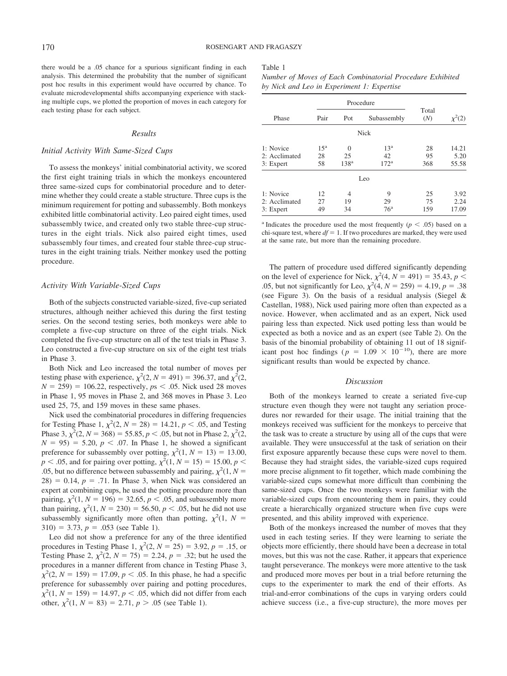there would be a .05 chance for a spurious significant finding in each analysis. This determined the probability that the number of significant post hoc results in this experiment would have occurred by chance. To evaluate microdevelopmental shifts accompanying experience with stacking multiple cups, we plotted the proportion of moves in each category for each testing phase for each subject.

## *Results*

## *Initial Activity With Same-Sized Cups*

To assess the monkeys' initial combinatorial activity, we scored the first eight training trials in which the monkeys encountered three same-sized cups for combinatorial procedure and to determine whether they could create a stable structure. Three cups is the minimum requirement for potting and subassembly. Both monkeys exhibited little combinatorial activity. Leo paired eight times, used subassembly twice, and created only two stable three-cup structures in the eight trials. Nick also paired eight times, used subassembly four times, and created four stable three-cup structures in the eight training trials. Neither monkey used the potting procedure.

## *Activity With Variable-Sized Cups*

Both of the subjects constructed variable-sized, five-cup seriated structures, although neither achieved this during the first testing series. On the second testing series, both monkeys were able to complete a five-cup structure on three of the eight trials. Nick completed the five-cup structure on all of the test trials in Phase 3. Leo constructed a five-cup structure on six of the eight test trials in Phase 3.

Both Nick and Leo increased the total number of moves per testing phase with experience,  $\chi^2(2, N = 491) = 396.37$ , and  $\chi^2(2, N = 491)$  $N = 259$  = 106.22, respectively,  $ps < .05$ . Nick used 28 moves in Phase 1, 95 moves in Phase 2, and 368 moves in Phase 3. Leo used 25, 75, and 159 moves in these same phases.

Nick used the combinatorial procedures in differing frequencies for Testing Phase 1,  $\chi^2(2, N = 28) = 14.21$ ,  $p < .05$ , and Testing Phase 3,  $\chi^2(2, N = 368) = 55.85, p < .05$ , but not in Phase 2,  $\chi^2(2, N = 368)$  $N = 95$ ) = 5.20,  $p < .07$ . In Phase 1, he showed a significant preference for subassembly over potting,  $\chi^2(1, N = 13) = 13.00$ ,  $p < .05$ , and for pairing over potting,  $\chi^2(1, N = 15) = 15.00, p <$ .05, but no difference between subassembly and pairing,  $\chi^2(1, N =$  $(28) = 0.14$ ,  $p = .71$ . In Phase 3, when Nick was considered an expert at combining cups, he used the potting procedure more than pairing,  $\chi^2(1, N = 196) = 32.65, p < .05$ , and subassembly more than pairing,  $\chi^2(1, N = 230) = 56.50, p < .05$ , but he did not use subassembly significantly more often than potting,  $\chi^2(1, N =$  $310) = 3.73$ ,  $p = .053$  (see Table 1).

Leo did not show a preference for any of the three identified procedures in Testing Phase 1,  $\chi^2(2, N = 25) = 3.92, p = .15$ , or Testing Phase 2,  $\chi^2(2, N = 75) = 2.24$ ,  $p = .32$ ; but he used the procedures in a manner different from chance in Testing Phase 3,  $\chi^2(2, N = 159) = 17.09, p < .05$ . In this phase, he had a specific preference for subassembly over pairing and potting procedures,  $\chi^2(1, N = 159) = 14.97, p < .05$ , which did not differ from each other,  $\chi^2(1, N = 83) = 2.71, p > .05$  (see Table 1).

#### Table 1

*Number of Moves of Each Combinatorial Procedure Exhibited by Nick and Leo in Experiment 1: Expertise*

|               | Procedure                  |                  |                  |             |       |
|---------------|----------------------------|------------------|------------------|-------------|-------|
| Phase         | Pair<br>Pot<br>Subassembly |                  | Total<br>(N)     | $\chi^2(2)$ |       |
|               |                            |                  | <b>Nick</b>      |             |       |
| 1: Novice     | $15^{\rm a}$               | $\Omega$         | 13 <sup>a</sup>  | 28          | 14.21 |
| 2: Acclimated | 28                         | 25               | 42               | 95          | 5.20  |
| 3: Expert     | 58                         | 138 <sup>a</sup> | 172 <sup>a</sup> | 368         | 55.58 |
|               |                            |                  | Leo              |             |       |
| 1: Novice     | 12                         | 4                | 9                | 25          | 3.92  |
| 2: Acclimated | 27                         | 19               | 29               | 75          | 2.24  |
| 3: Expert     | 49                         | 34               | 76 <sup>a</sup>  | 159         | 17.09 |

<sup>a</sup> Indicates the procedure used the most frequently ( $p < .05$ ) based on a  $chi$ -square test, where  $df = 1$ . If two procedures are marked, they were used at the same rate, but more than the remaining procedure.

The pattern of procedure used differed significantly depending on the level of experience for Nick,  $\chi^2(4, N = 491) = 35.43$ ,  $p <$ .05, but not significantly for Leo,  $\chi^2(4, N = 259) = 4.19, p = .38$ (see Figure 3). On the basis of a residual analysis (Siegel & Castellan, 1988), Nick used pairing more often than expected as a novice. However, when acclimated and as an expert, Nick used pairing less than expected. Nick used potting less than would be expected as both a novice and as an expert (see Table 2). On the basis of the binomial probability of obtaining 11 out of 18 significant post hoc findings ( $p = 1.09 \times 10^{-10}$ ), there are more significant results than would be expected by chance.

## *Discussion*

Both of the monkeys learned to create a seriated five-cup structure even though they were not taught any seriation procedures nor rewarded for their usage. The initial training that the monkeys received was sufficient for the monkeys to perceive that the task was to create a structure by using all of the cups that were available. They were unsuccessful at the task of seriation on their first exposure apparently because these cups were novel to them. Because they had straight sides, the variable-sized cups required more precise alignment to fit together, which made combining the variable-sized cups somewhat more difficult than combining the same-sized cups. Once the two monkeys were familiar with the variable-sized cups from encountering them in pairs, they could create a hierarchically organized structure when five cups were presented, and this ability improved with experience.

Both of the monkeys increased the number of moves that they used in each testing series. If they were learning to seriate the objects more efficiently, there should have been a decrease in total moves, but this was not the case. Rather, it appears that experience taught perseverance. The monkeys were more attentive to the task and produced more moves per bout in a trial before returning the cups to the experimenter to mark the end of their efforts. As trial-and-error combinations of the cups in varying orders could achieve success (i.e., a five-cup structure), the more moves per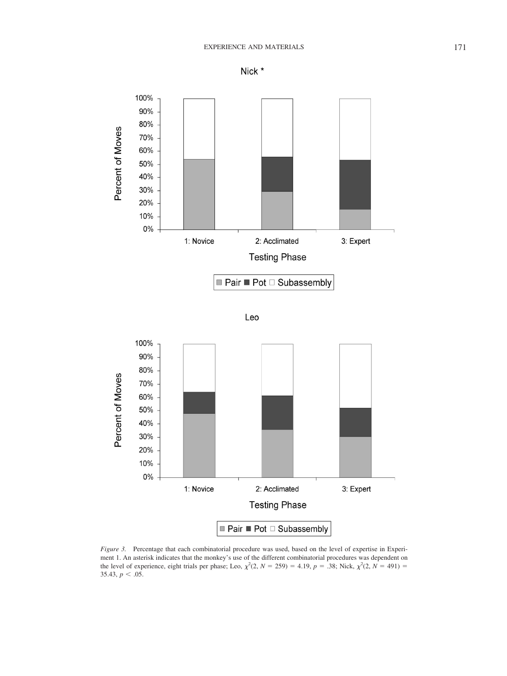



Nick \*

*Figure 3.* Percentage that each combinatorial procedure was used, based on the level of expertise in Experiment 1. An asterisk indicates that the monkey's use of the different combinatorial procedures was dependent on the level of experience, eight trials per phase; Leo,  $\chi^2(2, N = 259) = 4.19$ ,  $p = .38$ ; Nick,  $\chi^2(2, N = 491) =$ 35.43,  $p < .05$ .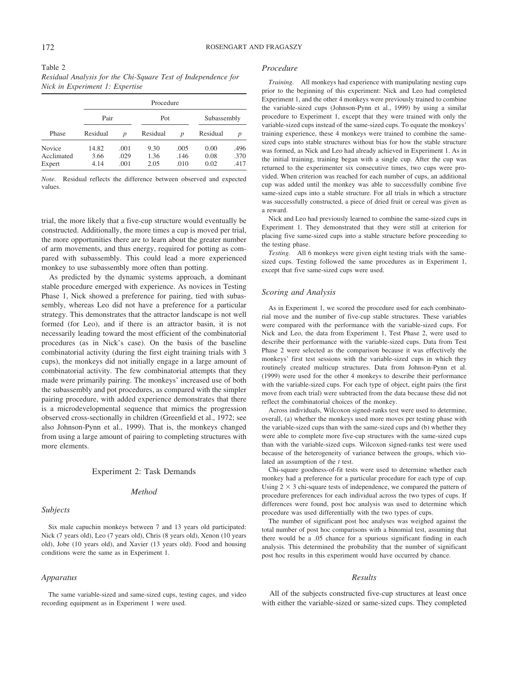|                                |                       |                      | Procedure            |                      |                      |                      |
|--------------------------------|-----------------------|----------------------|----------------------|----------------------|----------------------|----------------------|
|                                | Pair                  |                      | Pot                  |                      | Subassembly          |                      |
| Phase                          | Residual              | $\boldsymbol{p}$     | Residual             | $\boldsymbol{D}$     | Residual             | $\boldsymbol{p}$     |
| Novice<br>Acclimated<br>Expert | 14.82<br>3.66<br>4.14 | .001<br>.029<br>.001 | 9.30<br>1.36<br>2.05 | .005<br>.146<br>.010 | 0.00<br>0.08<br>0.02 | .496<br>.370<br>.417 |

*Note.* Residual reflects the difference between observed and expected values.

trial, the more likely that a five-cup structure would eventually be constructed. Additionally, the more times a cup is moved per trial, the more opportunities there are to learn about the greater number of arm movements, and thus energy, required for potting as compared with subassembly. This could lead a more experienced monkey to use subassembly more often than potting.

As predicted by the dynamic systems approach, a dominant stable procedure emerged with experience. As novices in Testing Phase 1, Nick showed a preference for pairing, tied with subassembly, whereas Leo did not have a preference for a particular strategy. This demonstrates that the attractor landscape is not well formed (for Leo), and if there is an attractor basin, it is not necessarily leading toward the most efficient of the combinatorial procedures (as in Nick's case). On the basis of the baseline combinatorial activity (during the first eight training trials with 3 cups), the monkeys did not initially engage in a large amount of combinatorial activity. The few combinatorial attempts that they made were primarily pairing. The monkeys' increased use of both the subassembly and pot procedures, as compared with the simpler pairing procedure, with added experience demonstrates that there is a microdevelopmental sequence that mimics the progression observed cross-sectionally in children (Greenfield et al., 1972; see also Johnson-Pynn et al., 1999). That is, the monkeys changed from using a large amount of pairing to completing structures with more elements.

#### Experiment 2: Task Demands

## *Method*

#### *Subjects*

Six male capuchin monkeys between 7 and 13 years old participated: Nick (7 years old), Leo (7 years old), Chris (8 years old), Xenon (10 years old), Jobe (10 years old), and Xavier (13 years old). Food and housing conditions were the same as in Experiment 1.

#### *Apparatus*

The same variable-sized and same-sized cups, testing cages, and video recording equipment as in Experiment 1 were used.

## *Procedure*

*Training.* All monkeys had experience with manipulating nesting cups prior to the beginning of this experiment: Nick and Leo had completed Experiment 1, and the other 4 monkeys were previously trained to combine the variable-sized cups (Johnson-Pynn et al., 1999) by using a similar procedure to Experiment 1, except that they were trained with only the variable-sized cups instead of the same-sized cups. To equate the monkeys' training experience, these 4 monkeys were trained to combine the samesized cups into stable structures without bias for how the stable structure was formed, as Nick and Leo had already achieved in Experiment 1. As in the initial training, training began with a single cup. After the cup was returned to the experimenter six consecutive times, two cups were provided. When criterion was reached for each number of cups, an additional cup was added until the monkey was able to successfully combine five same-sized cups into a stable structure. For all trials in which a structure was successfully constructed, a piece of dried fruit or cereal was given as a reward.

Nick and Leo had previously learned to combine the same-sized cups in Experiment 1. They demonstrated that they were still at criterion for placing five same-sized cups into a stable structure before proceeding to the testing phase.

*Testing.* All 6 monkeys were given eight testing trials with the samesized cups. Testing followed the same procedures as in Experiment 1, except that five same-sized cups were used.

#### *Scoring and Analysis*

As in Experiment 1, we scored the procedure used for each combinatorial move and the number of five-cup stable structures. These variables were compared with the performance with the variable-sized cups. For Nick and Leo, the data from Experiment 1, Test Phase 2, were used to describe their performance with the variable-sized cups. Data from Test Phase 2 were selected as the comparison because it was effectively the monkeys' first test sessions with the variable-sized cups in which they routinely created multicup structures. Data from Johnson-Pynn et al. (1999) were used for the other 4 monkeys to describe their performance with the variable-sized cups. For each type of object, eight pairs (the first move from each trial) were subtracted from the data because these did not reflect the combinatorial choices of the monkey.

Across individuals, Wilcoxon signed-ranks test were used to determine, overall, (a) whether the monkeys used more moves per testing phase with the variable-sized cups than with the same-sized cups and (b) whether they were able to complete more five-cup structures with the same-sized cups than with the variable-sized cups. Wilcoxon signed-ranks test were used because of the heterogeneity of variance between the groups, which violated an assumption of the *t* test.

Chi-square goodness-of-fit tests were used to determine whether each monkey had a preference for a particular procedure for each type of cup. Using  $2 \times 3$  chi-square tests of independence, we compared the pattern of procedure preferences for each individual across the two types of cups. If differences were found, post hoc analysis was used to determine which procedure was used differentially with the two types of cups.

The number of significant post hoc analyses was weighed against the total number of post hoc comparisons with a binomial test, assuming that there would be a .05 chance for a spurious significant finding in each analysis. This determined the probability that the number of significant post hoc results in this experiment would have occurred by chance.

#### *Results*

All of the subjects constructed five-cup structures at least once with either the variable-sized or same-sized cups. They completed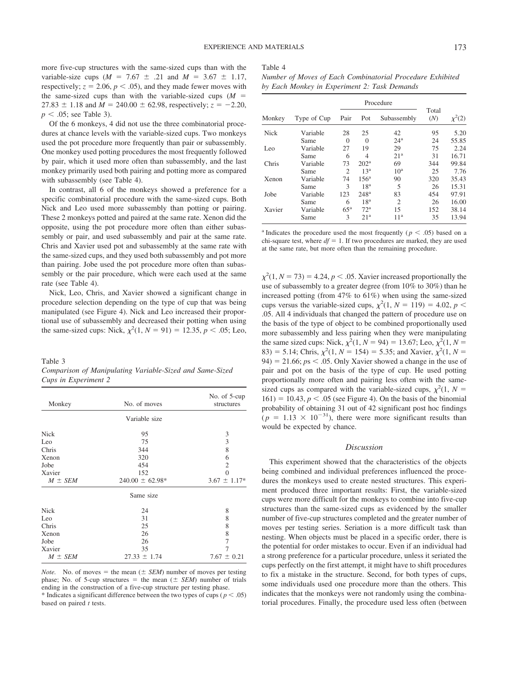more five-cup structures with the same-sized cups than with the variable-size cups  $(M = 7.67 \pm .21 \text{ and } M = 3.67 \pm 1.17,$ respectively;  $z = 2.06$ ,  $p < .05$ ), and they made fewer moves with the same-sized cups than with the variable-sized cups  $(M =$  $27.83 \pm 1.18$  and  $M = 240.00 \pm 62.98$ , respectively;  $z = -2.20$ ,  $p < .05$ ; see Table 3).

Of the 6 monkeys, 4 did not use the three combinatorial procedures at chance levels with the variable-sized cups. Two monkeys used the pot procedure more frequently than pair or subassembly. One monkey used potting procedures the most frequently followed by pair, which it used more often than subassembly, and the last monkey primarily used both pairing and potting more as compared with subassembly (see Table 4).

In contrast, all 6 of the monkeys showed a preference for a specific combinatorial procedure with the same-sized cups. Both Nick and Leo used more subassembly than potting or pairing. These 2 monkeys potted and paired at the same rate. Xenon did the opposite, using the pot procedure more often than either subassembly or pair, and used subassembly and pair at the same rate. Chris and Xavier used pot and subassembly at the same rate with the same-sized cups, and they used both subassembly and pot more than pairing. Jobe used the pot procedure more often than subassembly or the pair procedure, which were each used at the same rate (see Table 4).

Nick, Leo, Chris, and Xavier showed a significant change in procedure selection depending on the type of cup that was being manipulated (see Figure 4). Nick and Leo increased their proportional use of subassembly and decreased their potting when using the same-sized cups: Nick,  $\chi^2(1, N = 91) = 12.35, p < .05$ ; Leo,

Table 3 *Comparison of Manipulating Variable-Sized and Same-Sized Cups in Experiment 2*

| Monkey      | No. of moves        | No. of 5-cup<br>structures |  |
|-------------|---------------------|----------------------------|--|
|             | Variable size       |                            |  |
| <b>Nick</b> | 95                  | 3                          |  |
| Leo         | 75                  | 3                          |  |
| Chris       | 344                 | 8                          |  |
| Xenon       | 320                 | 6                          |  |
| Jobe        | 454                 | $\mathfrak{2}$             |  |
| Xavier      | 152                 | $\Omega$                   |  |
| $M \pm SEM$ | $240.00 \pm 62.98*$ | $3.67 \pm 1.17*$           |  |
|             | Same size           |                            |  |
| <b>Nick</b> | 24                  | 8                          |  |
| Leo         | 31                  | 8                          |  |
| Chris       | 25                  | 8                          |  |
| Xenon       | 26                  | 8                          |  |
| Jobe        | 26                  | 7                          |  |
| Xavier      | 35                  | 7                          |  |
| $M \pm SEM$ | $27.33 \pm 1.74$    | $7.67 \pm 0.21$            |  |

*Note.* No. of moves  $=$  the mean ( $\pm$  *SEM*) number of moves per testing phase; No. of 5-cup structures  $=$  the mean  $( \pm \text{ SEM})$  number of trials ending in the construction of a five-cup structure per testing phase. \* Indicates a significant difference between the two types of cups ( $p < .05$ ) based on paired *t* tests.

#### Table 4

*Number of Moves of Each Combinatorial Procedure Exhibited by Each Monkey in Experiment 2: Task Demands*

|             |             |                   | Procedure        |                 |              |             |
|-------------|-------------|-------------------|------------------|-----------------|--------------|-------------|
| Monkey      | Type of Cup | Pair              | Pot              | Subassembly     | Total<br>(N) | $\chi^2(2)$ |
| <b>Nick</b> | Variable    | 28                | 25               | 42              | 95           | 5.20        |
|             | Same        | $\Omega$          | $\theta$         | $24^{\rm a}$    | 24           | 55.85       |
| Leo         | Variable    | 27                | 19               | 29              | 75           | 2.24        |
|             | Same        | 6                 | 4                | 21 <sup>a</sup> | 31           | 16.71       |
| Chris       | Variable    | 73                | $202^{\rm a}$    | 69              | 344          | 99.84       |
|             | Same        | $\mathfrak{D}$    | 13 <sup>a</sup>  | 10 <sup>a</sup> | 25           | 7.76        |
| Xenon       | Variable    | 74                | $156^{\circ}$    | 90              | 320          | 35.43       |
|             | Same        | 3                 | 18 <sup>a</sup>  | 5               | 26           | 15.31       |
| Jobe        | Variable    | 123               | 248 <sup>a</sup> | 83              | 454          | 97.91       |
|             | Same        | 6                 | 18 <sup>a</sup>  | $\mathfrak{2}$  | 26           | 16.00       |
| Xavier      | Variable    | $65^{\mathrm{a}}$ | 72 <sup>a</sup>  | 15              | 152          | 38.14       |
|             | Same        | 3                 | 21 <sup>a</sup>  | 11 <sup>a</sup> | 35           | 13.94       |

<sup>a</sup> Indicates the procedure used the most frequently ( $p \le .05$ ) based on a chi-square test, where  $df = 1$ . If two procedures are marked, they are used at the same rate, but more often than the remaining procedure.

 $\chi^2(1, N = 73) = 4.24, p < .05$ . Xavier increased proportionally the use of subassembly to a greater degree (from 10% to 30%) than he increased potting (from 47% to 61%) when using the same-sized cups versus the variable-sized cups,  $\chi^2(1, N = 119) = 4.02$ ,  $p <$ .05. All 4 individuals that changed the pattern of procedure use on the basis of the type of object to be combined proportionally used more subassembly and less pairing when they were manipulating the same sized cups: Nick,  $\chi^2(1, N = 94) = 13.67$ ; Leo,  $\chi^2(1, N = 12.67)$ 83) = 5.14; Chris,  $\chi^2(1, N = 154) = 5.35$ ; and Xavier,  $\chi^2(1, N = 154)$  $94$ ) = 21.66;  $ps < 0.05$ . Only Xavier showed a change in the use of pair and pot on the basis of the type of cup. He used potting proportionally more often and pairing less often with the samesized cups as compared with the variable-sized cups,  $\chi^2(1, N =$  $161$ ) = 10.43,  $p < .05$  (see Figure 4). On the basis of the binomial probability of obtaining 31 out of 42 significant post hoc findings  $(p = 1.13 \times 10^{-31})$ , there were more significant results than would be expected by chance.

#### *Discussion*

This experiment showed that the characteristics of the objects being combined and individual preferences influenced the procedures the monkeys used to create nested structures. This experiment produced three important results: First, the variable-sized cups were more difficult for the monkeys to combine into five-cup structures than the same-sized cups as evidenced by the smaller number of five-cup structures completed and the greater number of moves per testing series. Seriation is a more difficult task than nesting. When objects must be placed in a specific order, there is the potential for order mistakes to occur. Even if an individual had a strong preference for a particular procedure, unless it seriated the cups perfectly on the first attempt, it might have to shift procedures to fix a mistake in the structure. Second, for both types of cups, some individuals used one procedure more than the others. This indicates that the monkeys were not randomly using the combinatorial procedures. Finally, the procedure used less often (between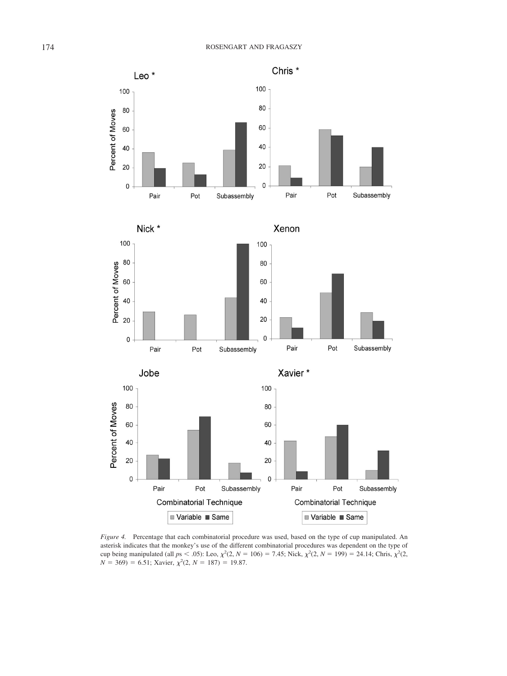





*Figure 4.* Percentage that each combinatorial procedure was used, based on the type of cup manipulated. An asterisk indicates that the monkey's use of the different combinatorial procedures was dependent on the type of cup being manipulated (all  $ps < .05$ ): Leo,  $\chi^2(2, N = 106) = 7.45$ ; Nick,  $\chi^2(2, N = 199) = 24.14$ ; Chris,  $\chi^2(2, N = 199)$  $N = 369$ ) = 6.51; Xavier,  $\chi^2(2, N = 187) = 19.87$ .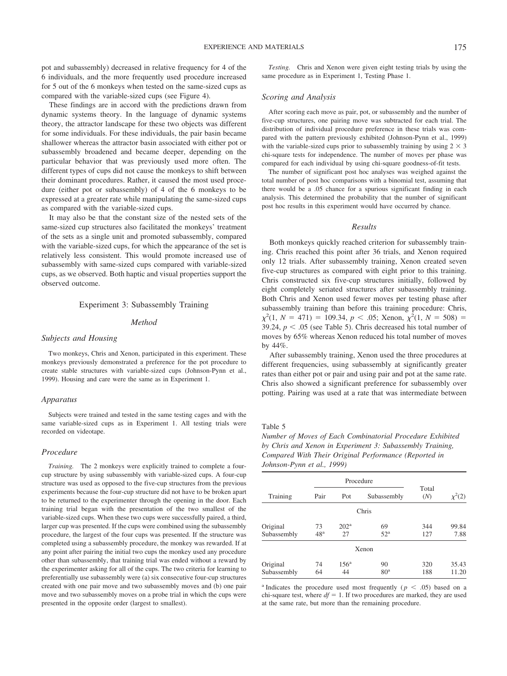pot and subassembly) decreased in relative frequency for 4 of the 6 individuals, and the more frequently used procedure increased for 5 out of the 6 monkeys when tested on the same-sized cups as compared with the variable-sized cups (see Figure 4).

These findings are in accord with the predictions drawn from dynamic systems theory. In the language of dynamic systems theory, the attractor landscape for these two objects was different for some individuals. For these individuals, the pair basin became shallower whereas the attractor basin associated with either pot or subassembly broadened and became deeper, depending on the particular behavior that was previously used more often. The different types of cups did not cause the monkeys to shift between their dominant procedures. Rather, it caused the most used procedure (either pot or subassembly) of 4 of the 6 monkeys to be expressed at a greater rate while manipulating the same-sized cups as compared with the variable-sized cups.

It may also be that the constant size of the nested sets of the same-sized cup structures also facilitated the monkeys' treatment of the sets as a single unit and promoted subassembly, compared with the variable-sized cups, for which the appearance of the set is relatively less consistent. This would promote increased use of subassembly with same-sized cups compared with variable-sized cups, as we observed. Both haptic and visual properties support the observed outcome.

## Experiment 3: Subassembly Training

## *Method*

## *Subjects and Housing*

Two monkeys, Chris and Xenon, participated in this experiment. These monkeys previously demonstrated a preference for the pot procedure to create stable structures with variable-sized cups (Johnson-Pynn et al., 1999). Housing and care were the same as in Experiment 1.

### *Apparatus*

Subjects were trained and tested in the same testing cages and with the same variable-sized cups as in Experiment 1. All testing trials were recorded on videotape.

#### *Procedure*

*Training.* The 2 monkeys were explicitly trained to complete a fourcup structure by using subassembly with variable-sized cups. A four-cup structure was used as opposed to the five-cup structures from the previous experiments because the four-cup structure did not have to be broken apart to be returned to the experimenter through the opening in the door. Each training trial began with the presentation of the two smallest of the variable-sized cups. When these two cups were successfully paired, a third, larger cup was presented. If the cups were combined using the subassembly procedure, the largest of the four cups was presented. If the structure was completed using a subassembly procedure, the monkey was rewarded. If at any point after pairing the initial two cups the monkey used any procedure other than subassembly, that training trial was ended without a reward by the experimenter asking for all of the cups. The two criteria for learning to preferentially use subassembly were (a) six consecutive four-cup structures created with one pair move and two subassembly moves and (b) one pair move and two subassembly moves on a probe trial in which the cups were presented in the opposite order (largest to smallest).

*Testing.* Chris and Xenon were given eight testing trials by using the same procedure as in Experiment 1, Testing Phase 1.

## *Scoring and Analysis*

After scoring each move as pair, pot, or subassembly and the number of five-cup structures, one pairing move was subtracted for each trial. The distribution of individual procedure preference in these trials was compared with the pattern previously exhibited (Johnson-Pynn et al., 1999) with the variable-sized cups prior to subassembly training by using  $2 \times 3$ chi-square tests for independence. The number of moves per phase was compared for each individual by using chi-square goodness-of-fit tests.

The number of significant post hoc analyses was weighed against the total number of post hoc comparisons with a binomial test, assuming that there would be a .05 chance for a spurious significant finding in each analysis. This determined the probability that the number of significant post hoc results in this experiment would have occurred by chance.

#### *Results*

Both monkeys quickly reached criterion for subassembly training. Chris reached this point after 36 trials, and Xenon required only 12 trials. After subassembly training, Xenon created seven five-cup structures as compared with eight prior to this training. Chris constructed six five-cup structures initially, followed by eight completely seriated structures after subassembly training. Both Chris and Xenon used fewer moves per testing phase after subassembly training than before this training procedure: Chris,  $\chi^2(1, N = 471) = 109.34, p < .05$ ; Xenon,  $\chi^2(1, N = 508) =$ 39.24,  $p < .05$  (see Table 5). Chris decreased his total number of moves by 65% whereas Xenon reduced his total number of moves by 44%.

After subassembly training, Xenon used the three procedures at different frequencies, using subassembly at significantly greater rates than either pot or pair and using pair and pot at the same rate. Chris also showed a significant preference for subassembly over potting. Pairing was used at a rate that was intermediate between

#### Table 5

*Number of Moves of Each Combinatorial Procedure Exhibited by Chris and Xenon in Experiment 3: Subassembly Training, Compared With Their Original Performance (Reported in Johnson-Pynn et al., 1999)*

| Training                | Pair                  | Pot                    | Subassembly           | Total<br>(N) | $x^2(2)$       |
|-------------------------|-----------------------|------------------------|-----------------------|--------------|----------------|
|                         |                       |                        | Chris                 |              |                |
| Original<br>Subassembly | 73<br>48 <sup>a</sup> | 202 <sup>a</sup><br>27 | 69<br>52 <sup>a</sup> | 344<br>127   | 99.84<br>7.88  |
|                         |                       |                        | Xenon                 |              |                |
| Original<br>Subassembly | 74<br>64              | $156^{\circ}$<br>44    | 90<br>80 <sup>a</sup> | 320<br>188   | 35.43<br>11.20 |

<sup>a</sup> Indicates the procedure used most frequently ( $p < .05$ ) based on a chi-square test, where  $df = 1$ . If two procedures are marked, they are used at the same rate, but more than the remaining procedure.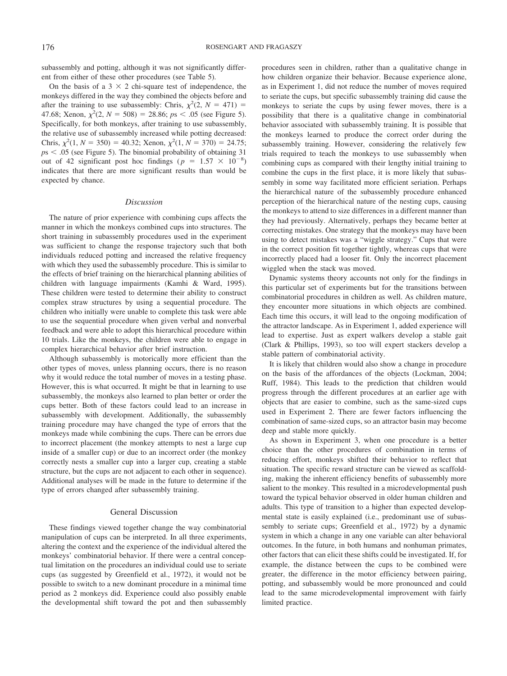subassembly and potting, although it was not significantly different from either of these other procedures (see Table 5).

On the basis of a  $3 \times 2$  chi-square test of independence, the monkeys differed in the way they combined the objects before and after the training to use subassembly: Chris,  $\chi^2(2, N = 471)$  = 47.68; Xenon,  $\chi^2(2, N = 508) = 28.86$ ;  $ps < .05$  (see Figure 5). Specifically, for both monkeys, after training to use subassembly, the relative use of subassembly increased while potting decreased: Chris,  $\chi^2(1, N = 350) = 40.32$ ; Xenon,  $\chi^2(1, N = 370) = 24.75$ ;  $p_s < .05$  (see Figure 5). The binomial probability of obtaining 31 out of 42 significant post hoc findings ( $p = 1.57 \times 10^{-8}$ ) indicates that there are more significant results than would be expected by chance.

## *Discussion*

The nature of prior experience with combining cups affects the manner in which the monkeys combined cups into structures. The short training in subassembly procedures used in the experiment was sufficient to change the response trajectory such that both individuals reduced potting and increased the relative frequency with which they used the subassembly procedure. This is similar to the effects of brief training on the hierarchical planning abilities of children with language impairments (Kamhi & Ward, 1995). These children were tested to determine their ability to construct complex straw structures by using a sequential procedure. The children who initially were unable to complete this task were able to use the sequential procedure when given verbal and nonverbal feedback and were able to adopt this hierarchical procedure within 10 trials. Like the monkeys, the children were able to engage in complex hierarchical behavior after brief instruction.

Although subassembly is motorically more efficient than the other types of moves, unless planning occurs, there is no reason why it would reduce the total number of moves in a testing phase. However, this is what occurred. It might be that in learning to use subassembly, the monkeys also learned to plan better or order the cups better. Both of these factors could lead to an increase in subassembly with development. Additionally, the subassembly training procedure may have changed the type of errors that the monkeys made while combining the cups. There can be errors due to incorrect placement (the monkey attempts to nest a large cup inside of a smaller cup) or due to an incorrect order (the monkey correctly nests a smaller cup into a larger cup, creating a stable structure, but the cups are not adjacent to each other in sequence). Additional analyses will be made in the future to determine if the type of errors changed after subassembly training.

## General Discussion

These findings viewed together change the way combinatorial manipulation of cups can be interpreted. In all three experiments, altering the context and the experience of the individual altered the monkeys' combinatorial behavior. If there were a central conceptual limitation on the procedures an individual could use to seriate cups (as suggested by Greenfield et al., 1972), it would not be possible to switch to a new dominant procedure in a minimal time period as 2 monkeys did. Experience could also possibly enable the developmental shift toward the pot and then subassembly procedures seen in children, rather than a qualitative change in how children organize their behavior. Because experience alone, as in Experiment 1, did not reduce the number of moves required to seriate the cups, but specific subassembly training did cause the monkeys to seriate the cups by using fewer moves, there is a possibility that there is a qualitative change in combinatorial behavior associated with subassembly training. It is possible that the monkeys learned to produce the correct order during the subassembly training. However, considering the relatively few trials required to teach the monkeys to use subassembly when combining cups as compared with their lengthy initial training to combine the cups in the first place, it is more likely that subassembly in some way facilitated more efficient seriation. Perhaps the hierarchical nature of the subassembly procedure enhanced perception of the hierarchical nature of the nesting cups, causing the monkeys to attend to size differences in a different manner than they had previously. Alternatively, perhaps they became better at correcting mistakes. One strategy that the monkeys may have been using to detect mistakes was a "wiggle strategy." Cups that were in the correct position fit together tightly, whereas cups that were incorrectly placed had a looser fit. Only the incorrect placement wiggled when the stack was moved.

Dynamic systems theory accounts not only for the findings in this particular set of experiments but for the transitions between combinatorial procedures in children as well. As children mature, they encounter more situations in which objects are combined. Each time this occurs, it will lead to the ongoing modification of the attractor landscape. As in Experiment 1, added experience will lead to expertise. Just as expert walkers develop a stable gait (Clark & Phillips, 1993), so too will expert stackers develop a stable pattern of combinatorial activity.

It is likely that children would also show a change in procedure on the basis of the affordances of the objects (Lockman, 2004; Ruff, 1984). This leads to the prediction that children would progress through the different procedures at an earlier age with objects that are easier to combine, such as the same-sized cups used in Experiment 2. There are fewer factors influencing the combination of same-sized cups, so an attractor basin may become deep and stable more quickly.

As shown in Experiment 3, when one procedure is a better choice than the other procedures of combination in terms of reducing effort, monkeys shifted their behavior to reflect that situation. The specific reward structure can be viewed as scaffolding, making the inherent efficiency benefits of subassembly more salient to the monkey. This resulted in a microdevelopmental push toward the typical behavior observed in older human children and adults. This type of transition to a higher than expected developmental state is easily explained (i.e., predominant use of subassembly to seriate cups; Greenfield et al., 1972) by a dynamic system in which a change in any one variable can alter behavioral outcomes. In the future, in both humans and nonhuman primates, other factors that can elicit these shifts could be investigated. If, for example, the distance between the cups to be combined were greater, the difference in the motor efficiency between pairing, potting, and subassembly would be more pronounced and could lead to the same microdevelopmental improvement with fairly limited practice.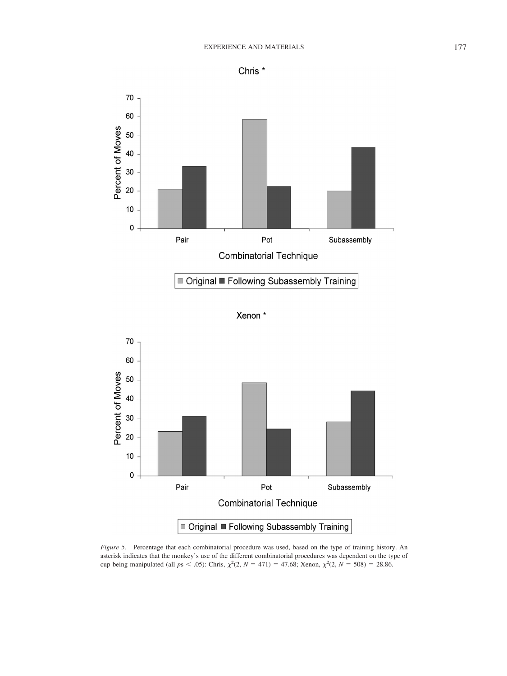



Percent of Moves







*Figure 5.* Percentage that each combinatorial procedure was used, based on the type of training history. An asterisk indicates that the monkey's use of the different combinatorial procedures was dependent on the type of cup being manipulated (all  $ps < .05$ ): Chris,  $\chi^2(2, N = 471) = 47.68$ ; Xenon,  $\chi^2(2, N = 508) = 28.86$ .